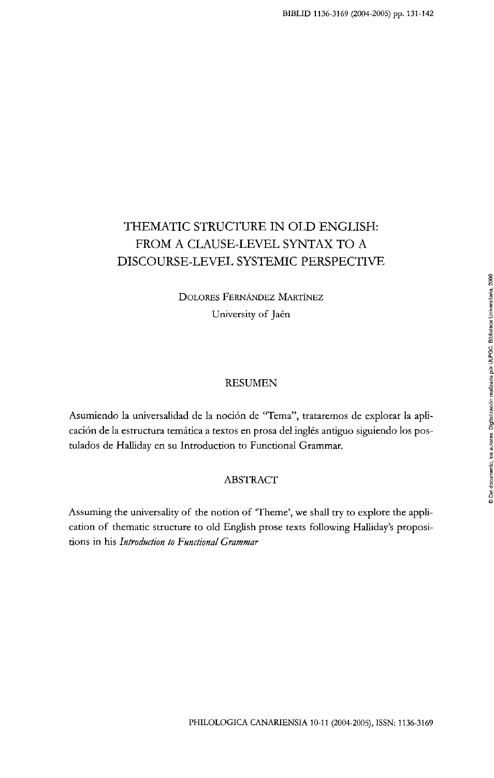# THEMATIC STRUCTURE IN OLD ENGLISH: FROM A CLAUSE-LEVEL SYNTAX TO A DISCOURSE-LEVEL SYSTEMIC PERSPECTIVE

DOLORES FERNÁNDEZ MARTÍNEZ University of Jaén

### RESUMEN

Asumiendo la universalidad de la noción de "Tema", trataremos de explorar la aplicación de la estructura temática a textos en prosa del inglés antiguo siguiendo los postulados de Halliday en su Introduction to Functional Grammar.

### ABSTRACT

Assuming the universality of the notion of 'Theme', we shall try to explore the application of thematic structure to old English prose texts following Halliday's propositions in his *Introduction to Functional Grammar*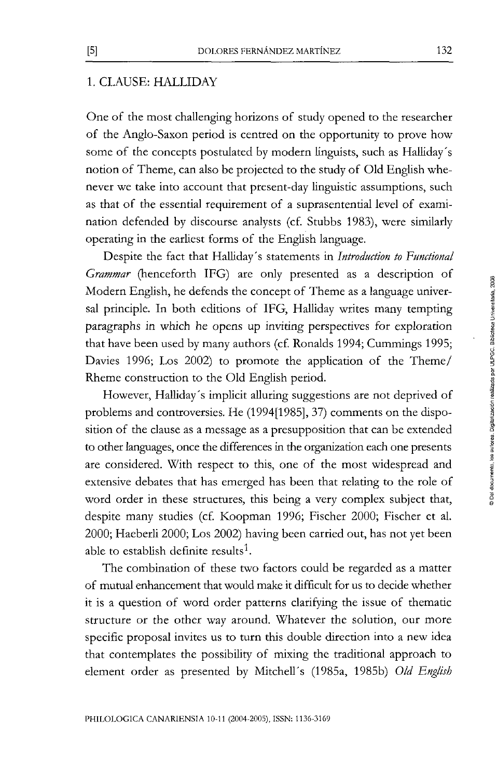## 1. CLAUSE: HALLIDAY

One of the most challenging horizons of study opened to the researcher of the Anglo-Saxon period is centred on the opportunity to prove how some of the concepts postulated by modern ünguists, such as Halliday's notion of Theme, can also be projected to the study of Old English whenever we take into account that present-day linguistic assumptions, such as that of the essenüal requirement of a suprasentential level of examination defended by discourse analysts (cf. Stubbs 1983), were similarly operating in the earüest forms of the Engüsh language.

Despite the fact that Halliday's statements in *Introduction to Functional Grammar* (henceforth IFG) are only presented as a description of Modern English, he defends the concept of Theme as a language universal principle. In both editions of IFG, Halliday writes many tempting paragraphs in which he opens up inviting perspectives for exploration that have been used by many authors (cf. Ronalds 1994; Cummings 1995; Davies 1996; Los 2002) to promote the application of the Theme/ Rheme construction to the Old English period.

However, Halliday's implicit alluring suggestions are not deprived of problems and controversies. He (1994[1985], 37) comments on the disposition of the clause as a message as a presupposition that can be extended to other languages, once the differences in the organization each one presents are considered. With respect to this, one of the most widespread and extensive debates that has emerged has been that relating to the role of word order in these structures, this being a very complex subject that, despite many studies (cf. Koopman 1996; Fischer 2000; Fischer et al. 2000; Haeberli 2000; Los 2002) having been carried out, has not yet been able to establish definite results<sup>1</sup>.

The combination of these two factors could be regarded as a matter of mutual enhancement that would make it difficult for us to decide whether it is a question of word order patterns clarifying the issue of thematic structure or the other way around. Whatever the solution, our more specific proposal invites us to turn this double direction into a new idea that contemplates the possibility of mixing the traditional approach to element order as presented by MitcheU's (1985a, 1985b) *Oíd English*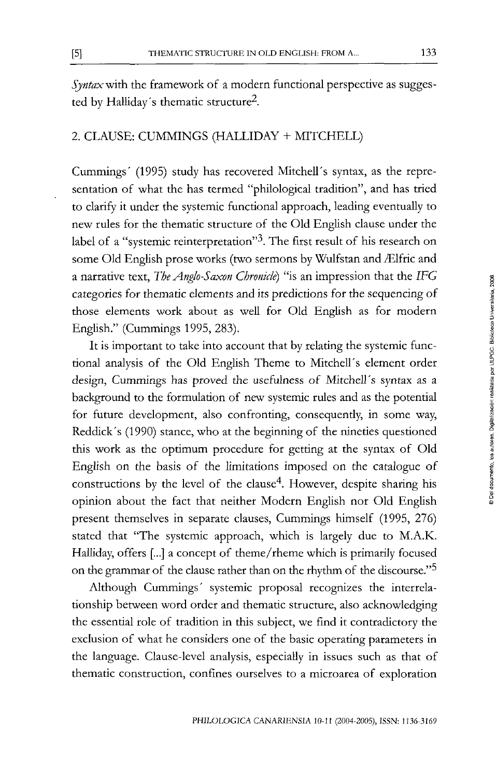*Syntax with* the framework of a modern functional perspective as suggested by Halliday's thematic structure<sup>2</sup>.

## 2. CLAUSE: CUMMINGS (HALLIDAY + MITCHELL)

Cummings' (1995) study has recovered Mitchell's syntax, as the representation of what the has termed "philological tradition", and has tried to clarify it under the systemic functional approach, leading eventually to new rules for the thematic structure of the Oíd Engüsh clause under the label of a "systemic reinterpretation"<sup>3</sup>. The first result of his research on some Old English prose works (two sermons by Wulfstan and Ælfric and a narrative text, *The Anglo-Saxon Chronide)* "is an impression that the *IFG*  categories for thematic elements and its predictions for the sequencing of those elements work about as well for Old English as for modern Engüsh." (Cummings 1995, 283).

It is important to take into account that by relaüng the systemic functional analysis of the Old English Theme to Mitchell's element order design, Cummings has proved the usefulness of Mitchell's syntax as a background to the formulatíon of new systemic rules and as the potential for future development, also confronting, consequendy, in some way, Reddick's (1990) stance, who at the beginning of the nineties quesrioned this work as the optimum procedure for getting at the syntax of Oíd English on the basis of the limitations imposed on the catalogue of constructions by the level of the clause<sup>4</sup>. However, despite sharing his opinión about the fact that neither Modern English ñor Oíd English present themselves in separate clauses, Cummings himself (1995, 276) stated that "The systemic approach, which is largely due to M.A.K. Halliday, offers [...] a concept of theme/rheme which is primarily focused on the grammar of the clause rather than on the rhythm of the discourse."<sup>5</sup>

Although Cummings' systemic proposal recognizes the interrelationship between word order and thematic structure, also acknowledging the essential role of tradition in this subject, we find it contradictory the exclusion of what he considers one of the basic operating parameters in the language. Clause-level analysis, especiaUy in issues such as that of thematic construction, confines ourselves to a microarea of exploration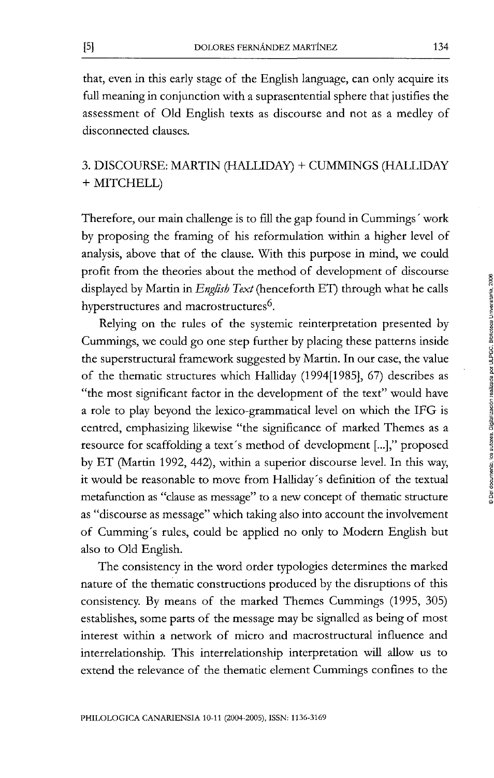that, even in this early stage of the English language, can only acquire its full meaning in conjunction with a suprasentenüal sphere that justifies the assessment of Oíd English texts as discourse and not as a medley of disconnected clauses.

# 3. DISCOURSE: MARTIN (HALLIDAY) + CUMMINGS (HALLIDAY + MITCHELL)

Therefore, our main challenge is to fill the gap found in Cummings' work by proposing the framing of his reformulation within a higher level of analysis, above that of the clause. With this purpose in mind, we could profit from the theories about the method of development of discourse displayed by Martin in *English Text* (henceforth ET) through what he calis hyperstructures and macrostructures<sup>6</sup>.

Relying on the rules of the systemic reinterpretation presented by Cummings, we could go one step further by placing these patterns inside the superstructural framework suggested by Martin. In our case, the value of the thematic structures which HaUiday (1994[1985], 67) describes as "the most significant factor in the development of the text" would have a role to play beyond the lexico-grammatical level on which the IFG is centred, emphasizing likewise "the significance of marked Themes as a resource for scaffolding a text's method of development [...]," proposed by ET (Martin 1992, 442), within a superior discourse level. In this way, it would be reasonable to move from HaUiday's defmitíon of the textual metafunction as "clause as message" to a new concept of thematic structure as "discourse as message" which taking also into account the involvement of Cumming's rules, could be applied no only to Modern English but also to Old English.

The consistency in the word order typologies determines the marked nature of the thematic constructions produced by the disruptions of this consistency. By means of the marked Themes Cummings (1995, 305) establishes, some parts of the message may be signalled as being of most interest within a network of micro and macrostructural influence and interrelationship. This interrelationship interpretatíon will allow us to extend the relevance of the thematic element Cummings confines to the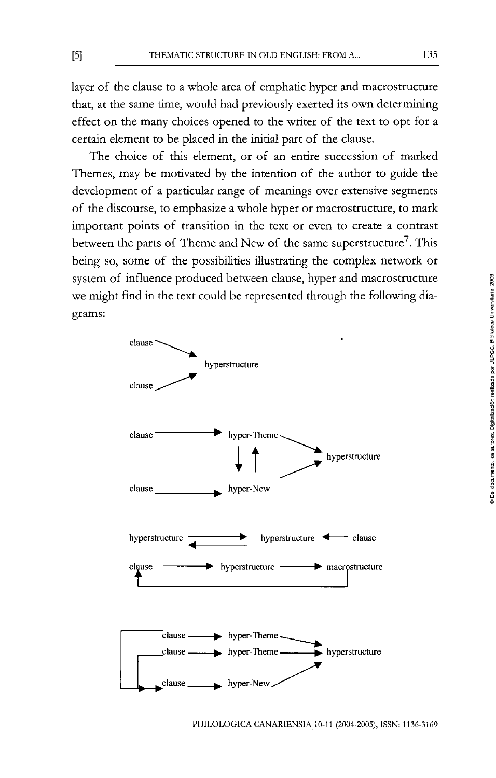layer of the clause to a whole area of emphatic hyper and macrostructure that, at the same time, would had previously exerted its own determining effect on the many choices opened to the writer of the text to opt for a certain element to be placed in the iniüal part of the clause.

The choice of this element, or of an entire succession of marked Themes, may be motivated by the intention of the author to guide the development of a particular range of meanings over extensive segments of the discourse, to emphasize a whole hyper or macrostructure, to mark important points of transition in the text or even to create a contrast between the parts of Theme and New of the same superstructure'. This being so, some of the possibilities illustraüng the complex network or system of influence produced between clause, hyper and macrostructure we might find in the text could be represented through the following diagrams:

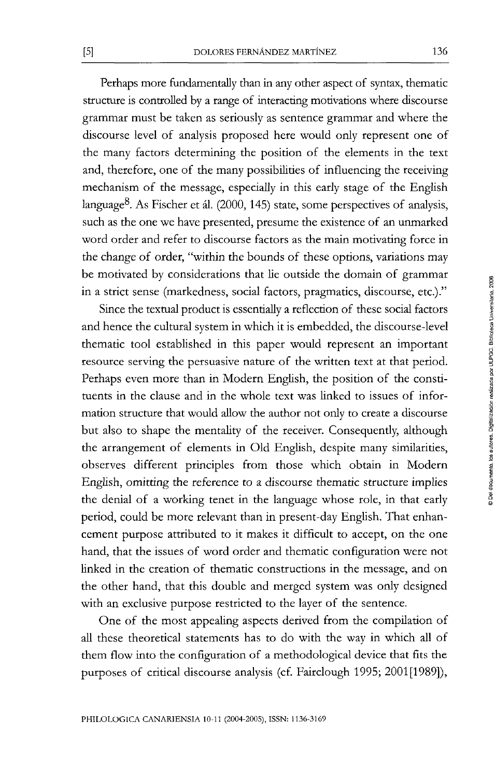Perhaps more fundamentally than in any other aspect of syntax, thematic structure is controlled by a range of interacting motivations where discourse grammar must be taken as seriously as sentence grammar and where the discourse level of analysis proposed here would only represent one of the many factors determining the position of the elements in the text and, therefore, one of the many possibilities of influencing the receiving mechanism of the message, especially in this early stage of the English language<sup>8</sup>. As Fischer et ál. (2000, 145) state, some perspectives of analysis, such as the one we have presented, presume the existence of an unmarked word order and refer to discourse factors as the main motivating forcé in the change of order, "within the bounds of these options, variations may be motivated by considerations that lie outside the domain of grammar in a strict sense (markedness, social factors, pragmatics, discourse, etc.)."

Since the textual product is essentially a reflection of these social factors and henee the cultural system in which it is embedded, the discourse-level thematic tool established in this paper would represent an important resource serving the persuasiva nature of the written text at that period. Perhaps even more than in Modern English, the position of the constituents in the clause and in the whole text was linked to issues of information structure that would allow the author not only to create a discourse but also to shape the mentality of the receiver. Consequentiy, although the arrangement of elements in Old English, despite many similarities, observes different principies from those which obtain in Modern English, omitting the reference to a discourse thematic structure implies the denial of a working tenet in the language whose role, in that early period, could be more relevant than in present-day English. That enhancement purpose attributed to it makes it difficult to accept, on the one hand, that the issues of word order and thematic configuration were not linked in the creation of thematic constructions in the message, and on the other hand, that this double and merged system was only designed with an exclusive purpose restricted to the layer of the sentence.

One of the most appealing aspects derived from the compüation of aU these theoreücal statements has to do with the way in which all of them flow into the configuration of a methodological device that fits the purposes of critical discourse analysis (cf. Fairclough 1995; 2001[1989]),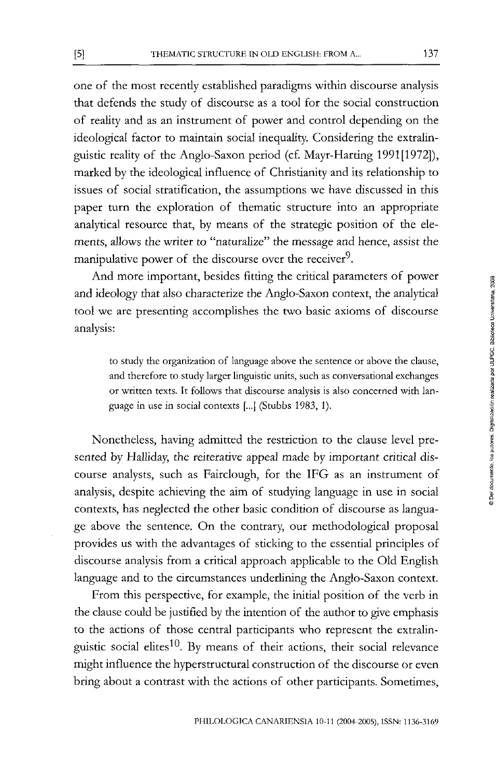one of the most recently established paradigms within discourse analysis that defends the study of discourse as a tool for the social construction of reality and as an instrument of power and control depending on the ideological factor to maintain social inequality. Considering the extralinguistic reality of the Anglo-Saxon period (cf. Mayr-Harting 1991[1972]), marked by the ideological influence of Christianity and its relationship to issues of social stratification, the assumptions we have discussed in this paper turn the exploration of thematic structure into an appropriate analytical resource that, by means of the strategic position of the elements, allows the writer to "naturalize" the message and hence, assist the manipulative power of the discourse over the receiver $9$ .

And more important, besides fitting the critical parameters of power and ideology that also characterize the Anglo-Saxon context, the analytical tool we are presenting accomplishes the two basic axioms of discourse analysis:

to study the organization of language above the sentence or above the clause, and therefore to study larger linguistic units, such as conversational exchanges or written texts. It follows that discourse analysis is also concerned with language in use in social contexts [...] (Stubbs 1983, 1).

Nonetheless, having admitted the restrictíon to the clause level presented by Halliday, the reiterative appeal made by important critical discourse analysts, such as Fairclough, for the IFG as an instrument of analysis, despite achieving the aim of studying language in use in social contexts, has neglected the other basic condition of discourse as language above the sentence. On the contrary, our methodological proposal provides us with the advantages of sticking to the essential principies of discourse analysis from a critical approach applicable to the Old English language and to the circumstances underlining the Anglo-Saxon context.

From this perspective, for example, the initial position of the verb in the clause could be jusüfied by the intention of the author to give emphasis to the actions of those central participants who represent the extralinguistic social elites $^{10}$ . By means of their actions, their social relevance might influence the hyperstructural construction of the discourse or even bring about a contrast with the actions of other participants. Sometimes,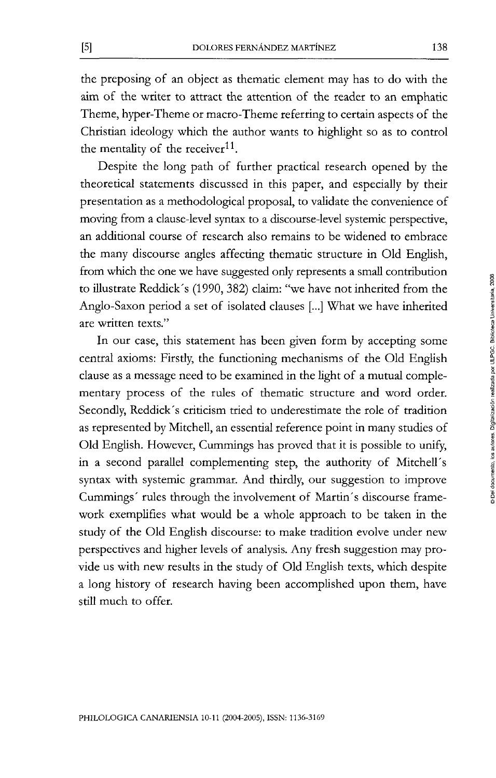the preposing of an object as thematic element may has to do with the aim of the writer to attract the attention of the reader to an emphatic Theme, hyper-Theme or macro-Theme referring to certain aspects of the Christian ideology which the author wants to highlight so as to control the mentality of the receiver $^{11}$ .

Despite the long path of further practical research opened by the theoretical statements discussed in this paper, and especially by their presentation as a methodological proposal, to valídate the convenience of moving from a clause-level syntax to a discourse-level systemic perspective, an addiüonal course of research also remains to be widened to embrace the many discourse angles affecting thematic structure in Old English, from which the one we have suggested only represents a small contribution to illustrate Reddick's (1990, 382) claim: "we have not inherited from the Anglo-Saxon period a set of isolated clauses [...] What we have inherited are written texts."

In our case, this statement has been given form by accepting some central axioms: Firsdy, the functioning mechanisms of the Oíd English clause as a message need to be examined in the light of a mutual complementary process of the rules of thematic structure and word order. Secondly, Reddick's criticism tried to underestimate the role of tradition as represented by MitcheU, an essential reference point in many studies of Oíd English. However, Cummings has proved that it is possible to unify, in a second parallel complementing step, the authority of Mitchell's syntax with systemic grammar. And thirdly, our suggesüon to improve Cummings' rules through the involvement of Martín's discourse framework exemplifies what would be a whole approach to be taken in the study of the Old English discourse: to make tradition evolve under new perspectives and higher levéis of analysis. Any fresh suggesüon may provide us with new results in the study of Old English texts, which despite a long history of research having been accomplished upon them, have still much to offer.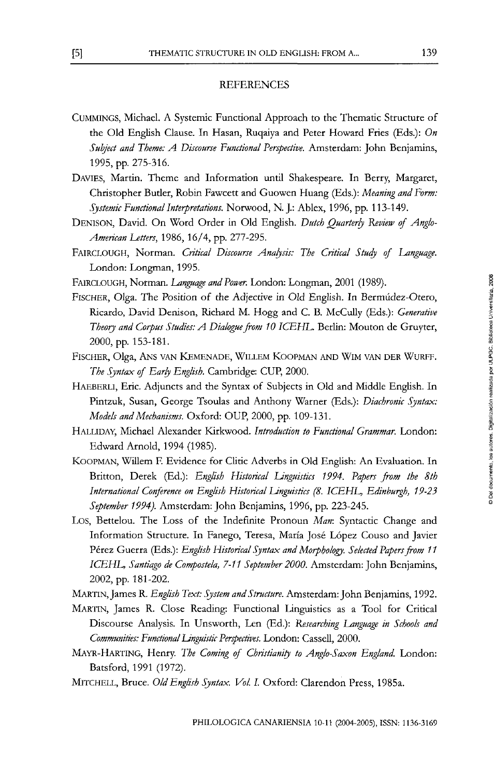#### REFERENCES

- CuMMiNGS, Michael. A Systemic Functional Approach to the Thematic Structure of the Oíd English Clause. In Hasan, Ruqaiya and Peter Howard Fríes (Eds.): *On Suhject and Theme: A Discourse Functional Perspective.* Amsterdam: John Benjamins, 1995, pp. 275-316.
- DAVIES, Martin. Theme and Information until Shakespeare. In Berry, Margare!, Christopher Butler, Robin Fawcett and Guowen Huang (Eds.): Meaning and Form: *Systemic Functional Interpretations.* Norwood, N. J.: Ablex, 1996, pp. 113-149.
- DENISON, David. On Word Order in Old English. Dutch Quarterly Review of Anglo-*American Utters,* 1986, 16/4, pp. 277-295.
- FAIRCLOUGH, Norman. Critical Discourse Analysis: The Critical Study of Language. London: Longman, 1995.
- FAIRCLOUGH, Norman. Language and Power. London: Longman, 2001 (1989).
- FlSCHER, Olga. The Position of the Adjective in Oíd English. In Bermúdez-Otero, Ricardo, David Denison, Richard M. Hogg and C. B. McCully (Eds.): *Generative Theory and Corpus Studies: A Dialogue from 10 ICEHL.* Berlín: Mouton de Gruyter, 2000, pp. 153-181.
- FISCHER, Olga, ANS VAN KEMENADE, WILLEM KOOPMAN AND WIM VAN DER WURFF. *The Syntax of Early English.* Cambridge: CUP, 2000.
- HAEBERLI, Eric. Adjuncts and the Syntax of Subjects in Old and Middle English. In Pintzuk, Susan, George Tsoulas and Anthony Warner (Eds.): *Diachronic Syntax: Models and Mechanisms.* Oxford: OUP, 2000, pp. 109-131.
- HALLIDAY, Michael Alexander Kirkwood. *Introduction to Functional Grammar.* London: Edward Arnold, 1994 (1985).
- KOOPMAN, Willem F. Evidence for Clitic Adverbs in Old English: An Evaluation. In Britton, Derek (Ed.): *English Historical Linguistics 1994. Papers from the 8th International Conference on English Historical Unguistics (8. ICEHL, Edinburgh, 19-23 Septemher 1994).* Amsterdam: John Benjamins, 1996, pp. 223-245.
- Los, Bettelou. The Loss of the Indefinite Pronoun *Man:* Syntactic Change and Information Structure. In Fanego, Teresa, María José López Couso and Javier Pérez Guerra (Eds.): *English Historical Syntax and Morphology. Selected Papers from 11 ICEHE, Santiago de Compostela, 7-11 Septemher 2000.* Amsterdam: John Benjamins, 2002, pp. 181-202.
- MARTIN, James R. *English Text: System and Structure.* Amsterdam: John Benjamins, 1992.
- MARTIN, James R. Close Reading: Functional Linguistics as a Tool for Critical Discourse Analysis. In Unsworth, Len (Ed.): Researching Language in Schools and *Communities: Functional Unguistic Per^ectives.* London: Cassell, 2000.
- MAYR-HARTING, Henry. *The Coming of Christianity to Anglo-Saxon England.* London: Batsford, 1991 (1972).
- MITCHELL, Bruce. Old English Syntax. Vol. I. Oxford: Clarendon Press, 1985a.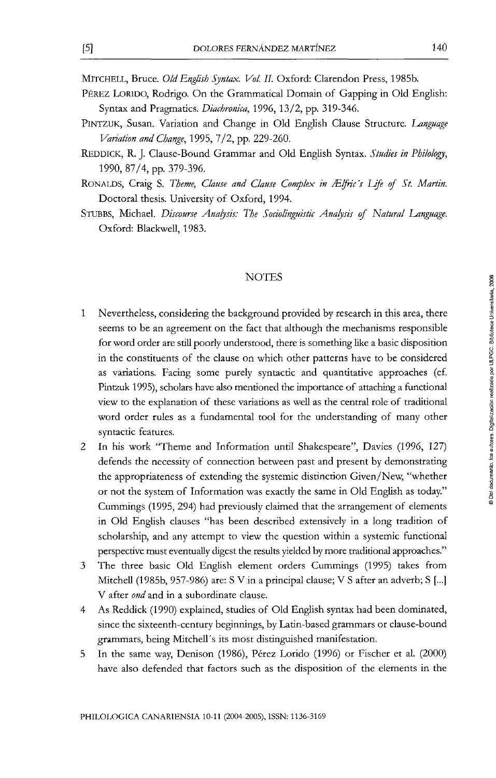MiTCHELL, Bruce. *Oíd English Sjntax. Vol. II.* Oxford: Clarendon Press, 1985b.

- PÉREZ LORIDO, Rodrigo. On the Grammatical Domain of Gapping in Oíd English: Syntax and Pragmatics. *Diachronica,* 1996, 13/2, pp. 319-346.
- PINTZUK, Susan. Variation and Change in Old English Clause Structure. Language *Variation and Change*, 1995, 7/2, pp. 229-260.
- REDDICK, R. J. Clause-Bound Grammar and Oíd English Syntax. *Studies in Philology,*  1990, 87/4, pp. 379-396.
- RONALDS, Craig S. Theme, Clause and Clause Complex in Ælfric's Life of St. Martin. Doctoral thesis. University of Oxford, 1994.
- STUBBS, Michael. Discourse Analysis: The Sociolinguistic Analysis of Natural Language. Oxford: BlackweU, 1983,

#### NOTES

- $\mathbf{1}$ Nevertheless, considering the background provided by research in this área, there seems to be an agreement on the fact that although the mechanisms responsible for word order are still poorly understood, there is something like a basic disposition in the constituents of the clause on which other patterns have to be considered as variations. Facing some purely syntactic and quantitative approaches (cf. Pintzuk 1995), scholars have also mentioned the importance of attaching a fimctíonal view to the explanation of these variations as weU as the central role of traditíonal word order rules as a fundamental tool for the understanding of many other syntactic features.
- 2 In his work "Theme and Information until Shakespeare", Davies (1996, 127) defends the necessity of connection between past and present by demonstrating the appropriateness of extending the systemic distinction Given/New, "whether or not the system of Information was exactly the same in Old English as today." Cummings (1995, 294) had previously claimed that the arrangement of elements in Old English clauses "has been described extensively in a long tradition of scholarship, and any attempt to view the question within a systemic functíonal perspective must eventually digest the results yielded by more traditional approaches."
- The three basic Oíd English element orders Cummings (1995) takes from 3 Mitchell (1985b, 957-986) are: S V in a principal clause; V S after an adverb; S [...] V after *ond* and in a subordinare clause.
- As Reddick (1990) explained, studies of Old English syntax had been dominated,  $\overline{4}$ since the sixteenth-century beginnings, by Latín-based grammars or clause-bound grammars, being Mitchell's its most distinguished manifestation.
- 5 In the same way, Denison (1986), Pérez Lorido (1996) or Fischer et al. (2000) have also defended that factors such as the disposition of the elements in the